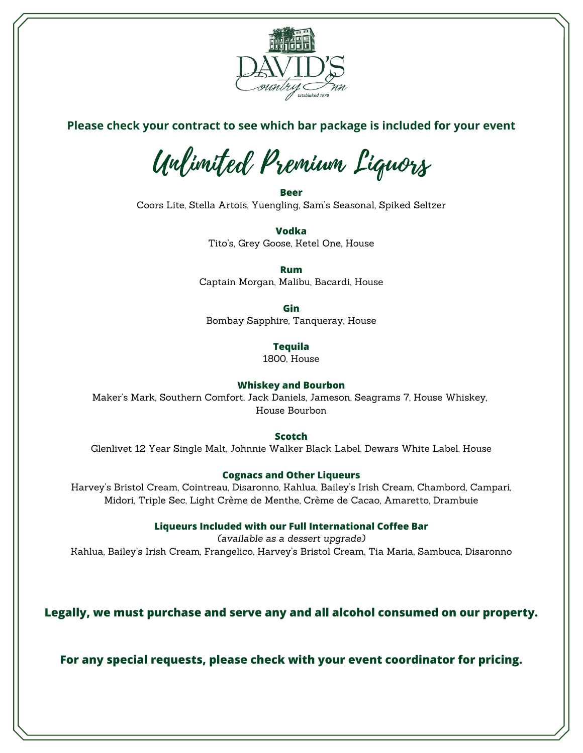

# **Please check your contract to see which bar package is included for your event**

Unlimited Premium Liquors

**Beer** Coors Lite, Stella Artois, Yuengling, Sam's Seasonal, Spiked Seltzer

> **Vodka** Tito's, Grey Goose, Ketel One, House

**Rum** Captain Morgan, Malibu, Bacardi, House

**Gin**

Bombay Sapphire, Tanqueray, House

**Tequila**

1800, House

## **Whiskey and Bourbon**

Maker's Mark, Southern Comfort, Jack Daniels, Jameson, Seagrams 7, House Whiskey, House Bourbon

**Scotch**

Glenlivet 12 Year Single Malt, Johnnie Walker Black Label, Dewars White Label, House

## **Cognacs and Other Liqueurs**

Harvey's Bristol Cream, Cointreau, Disaronno, Kahlua, Bailey's Irish Cream, Chambord, Campari, Midori, Triple Sec, Light Crème de Menthe, Crème de Cacao, Amaretto, Drambuie

**Liqueurs Included with our Full International Coffee Bar**

*(available as a dessert upgrade)* Kahlua, Bailey's Irish Cream, Frangelico, Harvey's Bristol Cream, Tia Maria, Sambuca, Disaronno

**Legally, we must purchase and serve any and all alcohol consumed on our property.**

**For any special requests, please check with your event coordinator for pricing.**